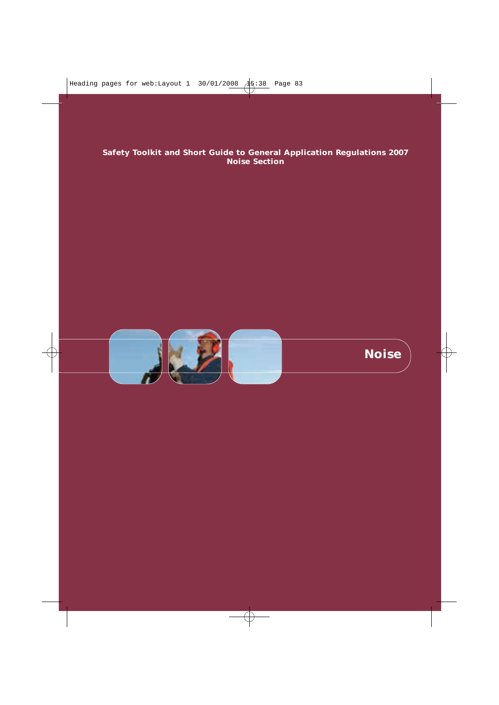#### **Safety Toolkit and Short Guide to General Application Regulations 2007 Noise Section**

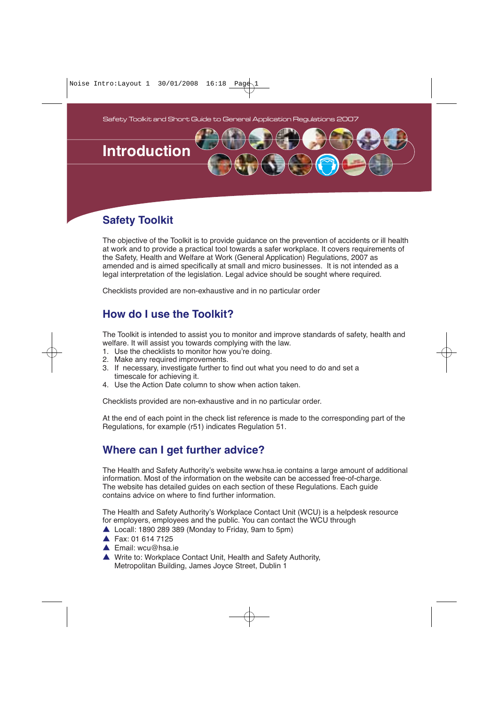Safety Toolkit and Short Guide to General Application Regulations 2007



# **Safety Toolkit**

The objective of the Toolkit is to provide guidance on the prevention of accidents or ill health at work and to provide a practical tool towards a safer workplace. It covers requirements of the Safety, Health and Welfare at Work (General Application) Regulations, 2007 as amended and is aimed specifically at small and micro businesses. It is not intended as a legal interpretation of the legislation. Legal advice should be sought where required.

Checklists provided are non-exhaustive and in no particular order

## **How do I use the Toolkit?**

The Toolkit is intended to assist you to monitor and improve standards of safety, health and welfare. It will assist you towards complying with the law.

- 1. Use the checklists to monitor how you're doing.
- 2. Make any required improvements.
- 3. If necessary, investigate further to find out what you need to do and set a timescale for achieving it.
- 4. Use the Action Date column to show when action taken.

Checklists provided are non-exhaustive and in no particular order.

At the end of each point in the check list reference is made to the corresponding part of the Regulations, for example (r51) indicates Regulation 51.

### **Where can I get further advice?**

The Health and Safety Authority's website www.hsa.ie contains a large amount of additional information. Most of the information on the website can be accessed free-of-charge. The website has detailed guides on each section of these Regulations. Each guide contains advice on where to find further information.

The Health and Safety Authority's Workplace Contact Unit (WCU) is a helpdesk resource for employers, employees and the public. You can contact the WCU through

- ▲ Locall: 1890 289 389 (Monday to Friday, 9am to 5pm)
- ▲ Fax: 01 614 7125
- ▲ Email: wcu@hsa.ie
- ▲ Write to: Workplace Contact Unit, Health and Safety Authority, Metropolitan Building, James Joyce Street, Dublin 1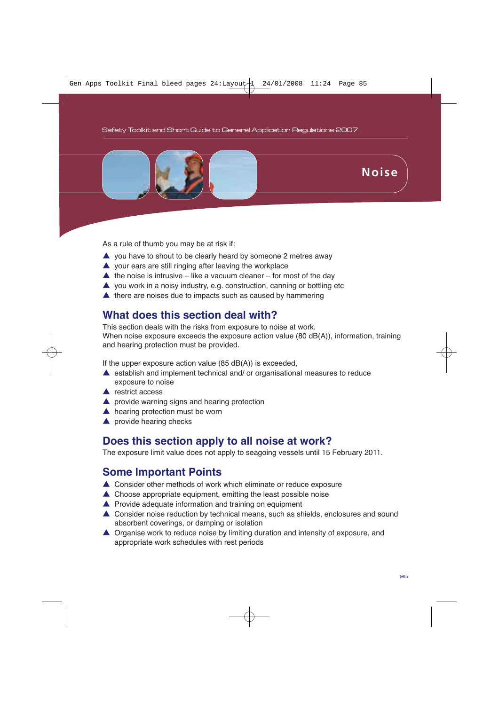

As a rule of thumb you may be at risk if:

- $\triangle$  you have to shout to be clearly heard by someone 2 metres away
- $\triangle$  your ears are still ringing after leaving the workplace
- $\triangle$  the noise is intrusive like a vacuum cleaner for most of the day
- $\blacktriangle$  you work in a noisy industry, e.g. construction, canning or bottling etc
- $\triangle$  there are noises due to impacts such as caused by hammering

### **What does this section deal with?**

This section deals with the risks from exposure to noise at work.

When noise exposure exceeds the exposure action value (80 dB(A)), information, training and hearing protection must be provided.

If the upper exposure action value  $(85 dB(A))$  is exceeded,

- ▲ establish and implement technical and/ or organisational measures to reduce exposure to noise
- ▲ restrict access
- $\triangle$  provide warning signs and hearing protection
- $\triangle$  hearing protection must be worn
- $\blacktriangle$  provide hearing checks

#### **Does this section apply to all noise at work?**

The exposure limit value does not apply to seagoing vessels until 15 February 2011.

### **Some Important Points**

- ▲ Consider other methods of work which eliminate or reduce exposure
- $\triangle$  Choose appropriate equipment, emitting the least possible noise
- ▲ Provide adequate information and training on equipment
- ▲ Consider noise reduction by technical means, such as shields, enclosures and sound absorbent coverings, or damping or isolation
- ▲ Organise work to reduce noise by limiting duration and intensity of exposure, and appropriate work schedules with rest periods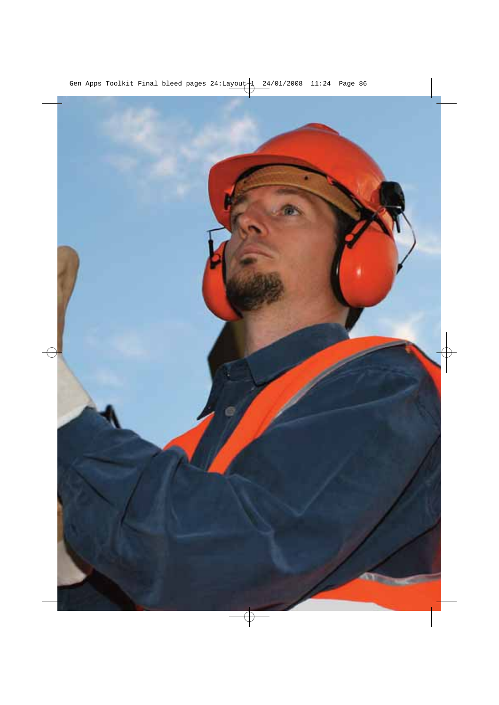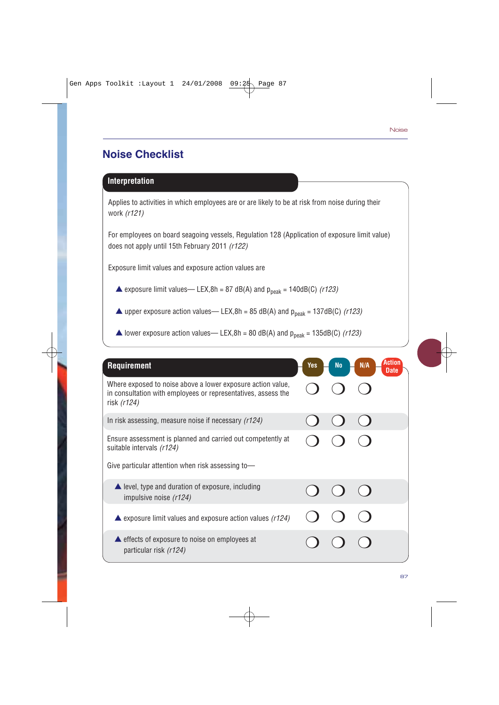### **Noise Checklist**

#### **Interpretation**

Applies to activities in which employees are or are likely to be at risk from noise during their work (r121)

For employees on board seagoing vessels, Regulation 128 (Application of exposure limit value) does not apply until 15th February 2011 (r122)

Exposure limit values and exposure action values are

 $\triangle$  exposure limit values— LEX,8h = 87 dB(A) and  $p_{\text{neak}}$  = 140dB(C) (r123)

**▲ upper exposure action values— LEX, 8h = 85 dB(A) and**  $p_{\text{peak}}$  **= 137dB(C) (r123)** 

**▲ lower exposure action values— LEX, 8h = 80 dB(A) and**  $p_{peak}$  **= 135dB(C) (r123)** 

| <b>Requirement</b>                                                                                                                                 | Yes | <b>No</b> | N/A | Action<br><b>Date</b> |
|----------------------------------------------------------------------------------------------------------------------------------------------------|-----|-----------|-----|-----------------------|
| Where exposed to noise above a lower exposure action value,<br>in consultation with employees or representatives, assess the<br>risk <i>(r124)</i> |     |           |     |                       |
| In risk assessing, measure noise if necessary (r124)                                                                                               |     |           |     |                       |
| Ensure assessment is planned and carried out competently at<br>suitable intervals (r124)                                                           |     |           |     |                       |
| Give particular attention when risk assessing to-                                                                                                  |     |           |     |                       |
| $\triangle$ level, type and duration of exposure, including<br>impulsive noise (r124)                                                              |     |           |     |                       |
| $\triangle$ exposure limit values and exposure action values (r124)                                                                                |     |           |     |                       |
| ▲ effects of exposure to noise on employees at<br>particular risk (r124)                                                                           |     |           |     |                       |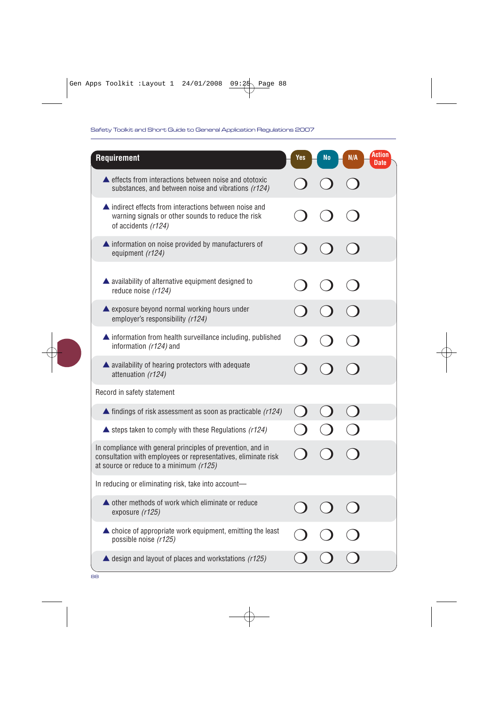| Requirement                                                                                                                                                                | Yes | N <sub>0</sub> | N/A | <b>Action</b><br>Date |
|----------------------------------------------------------------------------------------------------------------------------------------------------------------------------|-----|----------------|-----|-----------------------|
| $\triangle$ effects from interactions between noise and ototoxic<br>substances, and between noise and vibrations (r124)                                                    |     |                |     |                       |
| $\blacktriangle$ indirect effects from interactions between noise and<br>warning signals or other sounds to reduce the risk<br>of accidents (r124)                         |     |                |     |                       |
| ▲ information on noise provided by manufacturers of<br>equipment (r124)                                                                                                    |     |                |     |                       |
| ▲ availability of alternative equipment designed to<br>reduce noise (r124)                                                                                                 |     |                |     |                       |
| ▲ exposure beyond normal working hours under<br>employer's responsibility (r124)                                                                                           |     |                |     |                       |
| ▲ information from health surveillance including, published<br>information (r124) and                                                                                      |     |                |     |                       |
| $\triangle$ availability of hearing protectors with adequate<br>attenuation (r124)                                                                                         |     |                |     |                       |
| Record in safety statement                                                                                                                                                 |     |                |     |                       |
| $\triangle$ findings of risk assessment as soon as practicable (r124)                                                                                                      |     |                |     |                       |
| $\triangle$ steps taken to comply with these Regulations (r124)                                                                                                            |     |                |     |                       |
| In compliance with general principles of prevention, and in<br>consultation with employees or representatives, eliminate risk<br>at source or reduce to a minimum $(r125)$ |     |                |     |                       |
| In reducing or eliminating risk, take into account-                                                                                                                        |     |                |     |                       |
| ▲ other methods of work which eliminate or reduce<br>exposure (r125)                                                                                                       |     |                |     |                       |
| $\triangle$ choice of appropriate work equipment, emitting the least<br>possible noise (r125)                                                                              |     |                |     |                       |
| $\triangle$ design and layout of places and workstations (r125)                                                                                                            |     |                |     |                       |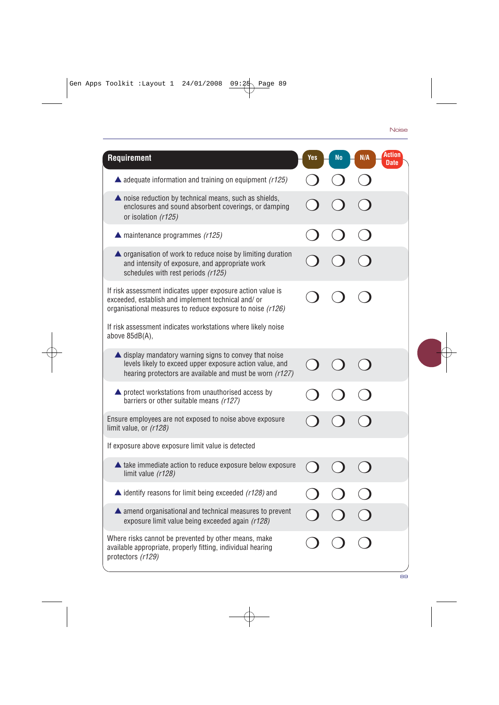| Requirement                                                                                                                                                                              | Yes | N <sub>0</sub> | N/A | Action<br>Date |
|------------------------------------------------------------------------------------------------------------------------------------------------------------------------------------------|-----|----------------|-----|----------------|
| $\triangle$ adequate information and training on equipment (r125)                                                                                                                        |     |                |     |                |
| ▲ noise reduction by technical means, such as shields,<br>enclosures and sound absorbent coverings, or damping<br>or isolation (r125)                                                    |     |                |     |                |
| $\blacktriangle$ maintenance programmes (r125)                                                                                                                                           |     |                |     |                |
| ▲ organisation of work to reduce noise by limiting duration<br>and intensity of exposure, and appropriate work<br>schedules with rest periods (r125)                                     |     |                |     |                |
| If risk assessment indicates upper exposure action value is<br>exceeded, establish and implement technical and/ or<br>organisational measures to reduce exposure to noise (r126)         |     |                |     |                |
| If risk assessment indicates workstations where likely noise<br>above 85dB(A),                                                                                                           |     |                |     |                |
| $\triangle$ display mandatory warning signs to convey that noise<br>levels likely to exceed upper exposure action value, and<br>hearing protectors are available and must be worn (r127) |     |                |     |                |
| $\triangle$ protect workstations from unauthorised access by<br>barriers or other suitable means (r127)                                                                                  |     |                |     |                |
| Ensure employees are not exposed to noise above exposure<br>limit value, or (r128)                                                                                                       |     |                |     |                |
| If exposure above exposure limit value is detected                                                                                                                                       |     |                |     |                |
| ▲ take immediate action to reduce exposure below exposure<br>limit value (r128)                                                                                                          |     |                |     |                |
| $\triangle$ identify reasons for limit being exceeded (r128) and                                                                                                                         |     |                |     |                |
| ▲ amend organisational and technical measures to prevent<br>exposure limit value being exceeded again (r128)                                                                             |     |                |     |                |
| Where risks cannot be prevented by other means, make<br>available appropriate, properly fitting, individual hearing<br>protectors (r129)                                                 |     |                |     |                |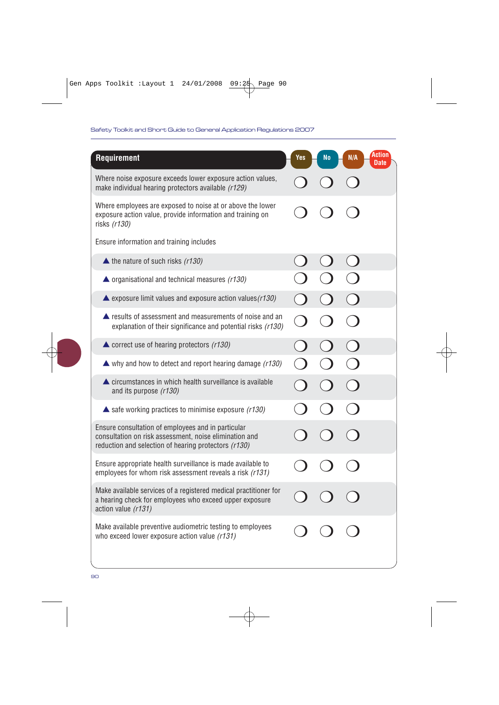| <b>Requirement</b>                                                                                                                                                   | Yes | <b>No</b> | N/A | Action<br>Date |
|----------------------------------------------------------------------------------------------------------------------------------------------------------------------|-----|-----------|-----|----------------|
| Where noise exposure exceeds lower exposure action values,<br>make individual hearing protectors available (r129)                                                    |     |           |     |                |
| Where employees are exposed to noise at or above the lower<br>exposure action value, provide information and training on<br>risks (r130)                             |     |           |     |                |
| Ensure information and training includes                                                                                                                             |     |           |     |                |
| $\triangle$ the nature of such risks (r130)                                                                                                                          |     |           |     |                |
| $\triangle$ organisational and technical measures (r130)                                                                                                             |     |           |     |                |
| $\triangle$ exposure limit values and exposure action values (r130)                                                                                                  |     |           |     |                |
| ▲ results of assessment and measurements of noise and an<br>explanation of their significance and potential risks (r130)                                             |     |           |     |                |
| $\triangle$ correct use of hearing protectors (r130)                                                                                                                 |     |           |     |                |
| $\triangle$ why and how to detect and report hearing damage (r130)                                                                                                   |     |           |     |                |
| ▲ circumstances in which health surveillance is available<br>and its purpose (r130)                                                                                  |     |           |     |                |
| $\triangle$ safe working practices to minimise exposure (r130)                                                                                                       |     |           |     |                |
| Ensure consultation of employees and in particular<br>consultation on risk assessment, noise elimination and<br>reduction and selection of hearing protectors (r130) |     |           |     |                |
| Ensure appropriate health surveillance is made available to<br>employees for whom risk assessment reveals a risk (r131)                                              |     |           |     |                |
| Make available services of a registered medical practitioner for<br>a hearing check for employees who exceed upper exposure<br>action value (r131)                   |     |           |     |                |
| Make available preventive audiometric testing to employees<br>who exceed lower exposure action value (r131)                                                          |     |           |     |                |